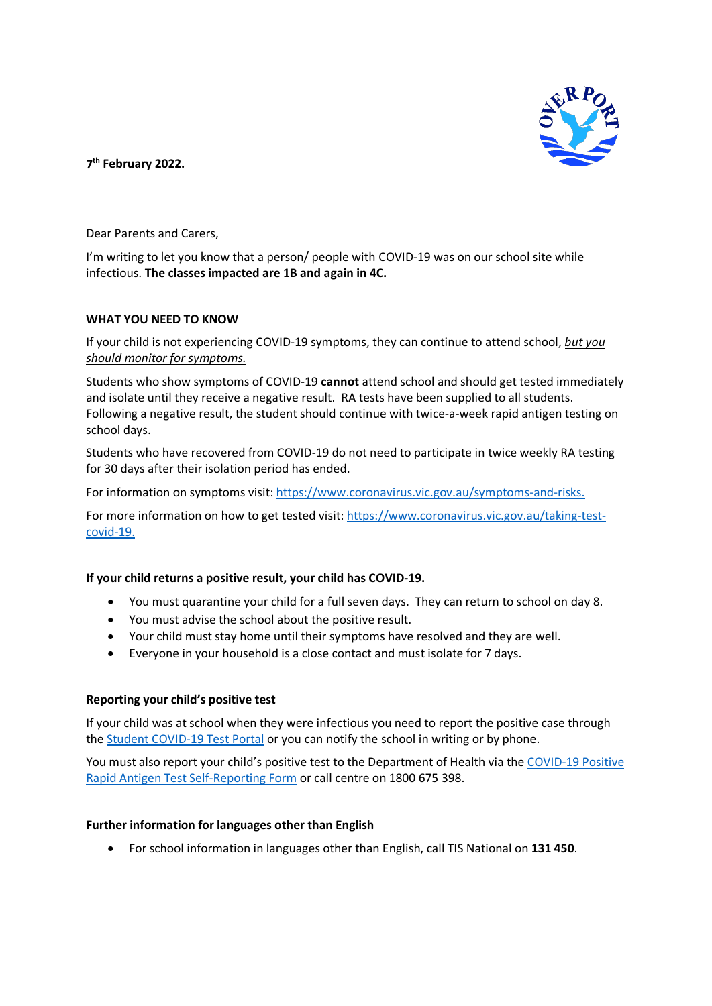

**7th February 2022.**

Dear Parents and Carers,

I'm writing to let you know that a person/ people with COVID-19 was on our school site while infectious. **The classes impacted are 1B and again in 4C.**

## **WHAT YOU NEED TO KNOW**

If your child is not experiencing COVID-19 symptoms, they can continue to attend school, *but you should monitor for symptoms.*

Students who show symptoms of COVID-19 **cannot** attend school and should get tested immediately and isolate until they receive a negative result. RA tests have been supplied to all students. Following a negative result, the student should continue with twice-a-week rapid antigen testing on school days.

Students who have recovered from COVID-19 do not need to participate in twice weekly RA testing for 30 days after their isolation period has ended.

For information on symptoms visit: [https://www.coronavirus.vic.gov.au/symptoms-and-risks.](https://www.coronavirus.vic.gov.au/symptoms-and-risks)

For more information on how to get tested visit: [https://www.coronavirus.vic.gov.au/taking-test](https://www.coronavirus.vic.gov.au/taking-test-covid-19)[covid-19.](https://www.coronavirus.vic.gov.au/taking-test-covid-19)

# **If your child returns a positive result, your child has COVID-19.**

- You must quarantine your child for a full seven days. They can return to school on day 8.
- You must advise the school about the positive result.
- Your child must stay home until their symptoms have resolved and they are well.
- Everyone in your household is a close contact and must isolate for 7 days.

### **Reporting your child's positive test**

If your child was at school when they were infectious you need to report the positive case through the [Student COVID-19 Test Portal](https://covidtest.educationapps.vic.gov.au/?utm_source=email+marketing+Mailigen&utm_campaign=EmergencySchools24Jan2022&utm_medium=email) or you can notify the school in writing or by phone.

You must also report your child's positive test to the Department of Health via the [COVID-19 Positive](https://dhvicgovau.powerappsportals.com/rapid-antigen-test/)  [Rapid Antigen Test Self-Reporting Form](https://dhvicgovau.powerappsportals.com/rapid-antigen-test/) or call centre on 1800 675 398.

### **Further information for languages other than English**

• For school information in languages other than English, call TIS National on **131 450**.